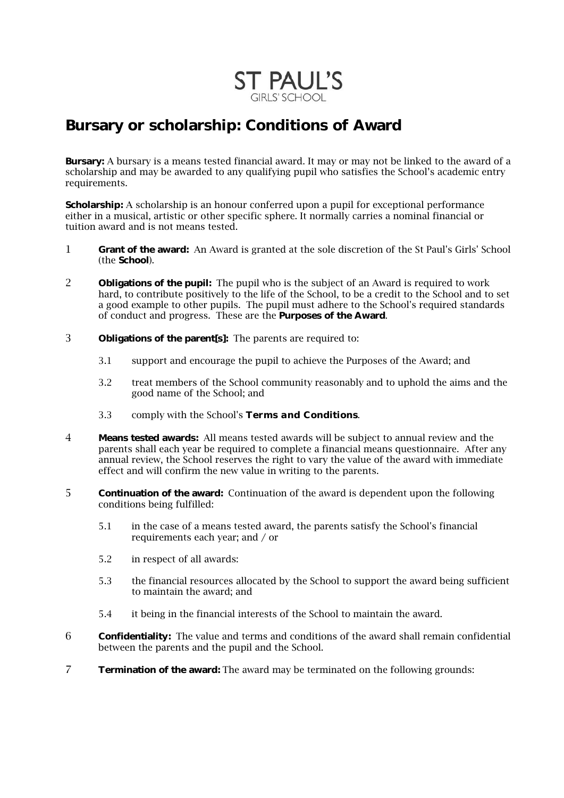

## **Bursary or scholarship: Conditions of Award**

**Bursary:** A bursary is a means tested financial award. It may or may not be linked to the award of a scholarship and may be awarded to any qualifying pupil who satisfies the School's academic entry requirements.

**Scholarship:** A scholarship is an honour conferred upon a pupil for exceptional performance either in a musical, artistic or other specific sphere. It normally carries a nominal financial or tuition award and is not means tested.

- 1 **Grant of the award:** An Award is granted at the sole discretion of the St Paul's Girls' School (the **School**).
- 2 **Obligations of the pupil:** The pupil who is the subject of an Award is required to work hard, to contribute positively to the life of the School, to be a credit to the School and to set a good example to other pupils. The pupil must adhere to the School's required standards of conduct and progress. These are the **Purposes of the Award**.
- 3 **Obligations of the parent[s]:** The parents are required to:
	- 3.1 support and encourage the pupil to achieve the Purposes of the Award; and
	- 3.2 treat members of the School community reasonably and to uphold the aims and the good name of the School; and
	- 3.3 comply with the School's *Terms and Conditions*.
- 4 **Means tested awards:** All means tested awards will be subject to annual review and the parents shall each year be required to complete a financial means questionnaire. After any annual review, the School reserves the right to vary the value of the award with immediate effect and will confirm the new value in writing to the parents.
- 5 **Continuation of the award:** Continuation of the award is dependent upon the following conditions being fulfilled:
	- 5.1 in the case of a means tested award, the parents satisfy the School's financial requirements each year; and / or
	- 5.2 in respect of all awards:
	- 5.3 the financial resources allocated by the School to support the award being sufficient to maintain the award; and
	- 5.4 it being in the financial interests of the School to maintain the award.
- 6 **Confidentiality:** The value and terms and conditions of the award shall remain confidential between the parents and the pupil and the School.
- 7 **Termination of the award:** The award may be terminated on the following grounds: